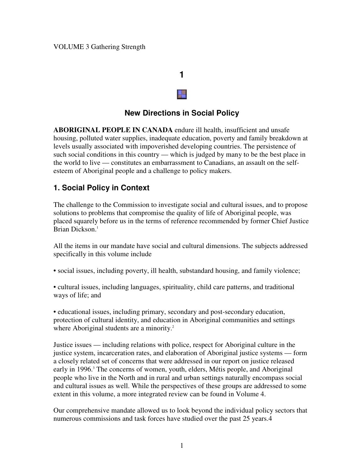# **1**

## **New Directions in Social Policy**

**ABORIGINAL PEOPLE IN CANADA** endure ill health, insufficient and unsafe housing, polluted water supplies, inadequate education, poverty and family breakdown at levels usually associated with impoverished developing countries. The persistence of such social conditions in this country — which is judged by many to be the best place in the world to live — constitutes an embarrassment to Canadians, an assault on the selfesteem of Aboriginal people and a challenge to policy makers.

### **1. Social Policy in Context**

The challenge to the Commission to investigate social and cultural issues, and to propose solutions to problems that compromise the quality of life of Aboriginal people, was placed squarely before us in the terms of reference recommended by former Chief Justice Brian Dickson. 1

All the items in our mandate have social and cultural dimensions. The subjects addressed specifically in this volume include

• social issues, including poverty, ill health, substandard housing, and family violence;

• cultural issues, including languages, spirituality, child care patterns, and traditional ways of life; and

• educational issues, including primary, secondary and post-secondary education, protection of cultural identity, and education in Aboriginal communities and settings where Aboriginal students are a minority.<sup>2</sup>

Justice issues — including relations with police, respect for Aboriginal culture in the justice system, incarceration rates, and elaboration of Aboriginal justice systems — form a closely related set of concerns that were addressed in our report on justice released early in 1996. <sup>3</sup> The concerns of women, youth, elders, Métis people, and Aboriginal people who live in the North and in rural and urban settings naturally encompass social and cultural issues as well. While the perspectives of these groups are addressed to some extent in this volume, a more integrated review can be found in Volume 4.

Our comprehensive mandate allowed us to look beyond the individual policy sectors that numerous commissions and task forces have studied over the past 25 years.4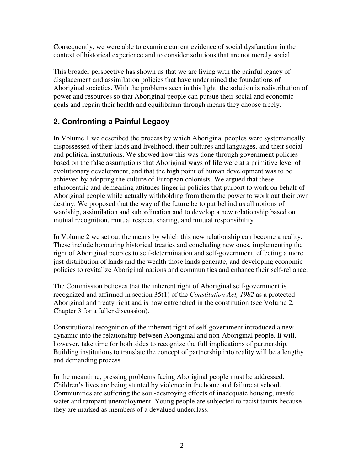Consequently, we were able to examine current evidence of social dysfunction in the context of historical experience and to consider solutions that are not merely social.

This broader perspective has shown us that we are living with the painful legacy of displacement and assimilation policies that have undermined the foundations of Aboriginal societies. With the problems seen in this light, the solution is redistribution of power and resources so that Aboriginal people can pursue their social and economic goals and regain their health and equilibrium through means they choose freely.

## **2. Confronting a Painful Legacy**

In Volume 1 we described the process by which Aboriginal peoples were systematically dispossessed of their lands and livelihood, their cultures and languages, and their social and political institutions. We showed how this was done through government policies based on the false assumptions that Aboriginal ways of life were at a primitive level of evolutionary development, and that the high point of human development was to be achieved by adopting the culture of European colonists. We argued that these ethnocentric and demeaning attitudes linger in policies that purport to work on behalf of Aboriginal people while actually withholding from them the power to work out their own destiny. We proposed that the way of the future be to put behind us all notions of wardship, assimilation and subordination and to develop a new relationship based on mutual recognition, mutual respect, sharing, and mutual responsibility.

In Volume 2 we set out the means by which this new relationship can become a reality. These include honouring historical treaties and concluding new ones, implementing the right of Aboriginal peoples to self-determination and self-government, effecting a more just distribution of lands and the wealth those lands generate, and developing economic policies to revitalize Aboriginal nations and communities and enhance their self-reliance.

The Commission believes that the inherent right of Aboriginal self-government is recognized and affirmed in section 35(1) of the *Constitution Act, 1982* as a protected Aboriginal and treaty right and is now entrenched in the constitution (see Volume 2, Chapter 3 for a fuller discussion).

Constitutional recognition of the inherent right of self-government introduced a new dynamic into the relationship between Aboriginal and non-Aboriginal people. It will, however, take time for both sides to recognize the full implications of partnership. Building institutions to translate the concept of partnership into reality will be a lengthy and demanding process.

In the meantime, pressing problems facing Aboriginal people must be addressed. Children's lives are being stunted by violence in the home and failure at school. Communities are suffering the soul-destroying effects of inadequate housing, unsafe water and rampant unemployment. Young people are subjected to racist taunts because they are marked as members of a devalued underclass.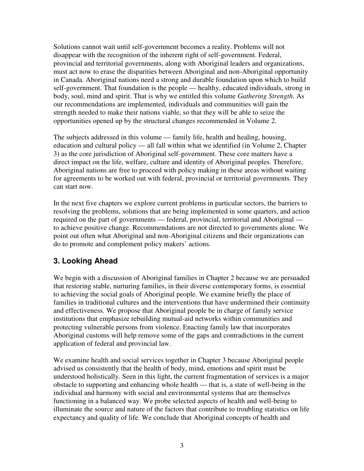Solutions cannot wait until self-government becomes a reality. Problems will not disappear with the recognition of the inherent right of self-government. Federal, provincial and territorial governments, along with Aboriginal leaders and organizations, must act now to erase the disparities between Aboriginal and non-Aboriginal opportunity in Canada. Aboriginal nations need a strong and durable foundation upon which to build self-government. That foundation is the people — healthy, educated individuals, strong in body, soul, mind and spirit. That is why we entitled this volume *Gathering Strength*. As our recommendations are implemented, individuals and communities will gain the strength needed to make their nations viable, so that they will be able to seize the opportunities opened up by the structural changes recommended in Volume 2.

The subjects addressed in this volume — family life, health and healing, housing, education and cultural policy — all fall within what we identified (in Volume 2, Chapter 3) as the core jurisdiction of Aboriginal self-government. These core matters have a direct impact on the life, welfare, culture and identity of Aboriginal peoples. Therefore, Aboriginal nations are free to proceed with policy making in these areas without waiting for agreements to be worked out with federal, provincial or territorial governments. They can start now.

In the next five chapters we explore current problems in particular sectors, the barriers to resolving the problems, solutions that are being implemented in some quarters, and action required on the part of governments — federal, provincial, territorial and Aboriginal to achieve positive change. Recommendations are not directed to governments alone. We point out often what Aboriginal and non-Aboriginal citizens and their organizations can do to promote and complement policy makers' actions.

## **3. Looking Ahead**

We begin with a discussion of Aboriginal families in Chapter 2 because we are persuaded that restoring stable, nurturing families, in their diverse contemporary forms, is essential to achieving the social goals of Aboriginal people. We examine briefly the place of families in traditional cultures and the interventions that have undermined their continuity and effectiveness. We propose that Aboriginal people be in charge of family service institutions that emphasize rebuilding mutual-aid networks within communities and protecting vulnerable persons from violence. Enacting family law that incorporates Aboriginal customs will help remove some of the gaps and contradictions in the current application of federal and provincial law.

We examine health and social services together in Chapter 3 because Aboriginal people advised us consistently that the health of body, mind, emotions and spirit must be understood holistically. Seen in this light, the current fragmentation of services is a major obstacle to supporting and enhancing whole health — that is, a state of well-being in the individual and harmony with social and environmental systems that are themselves functioning in a balanced way. We probe selected aspects of health and well-being to illuminate the source and nature of the factors that contribute to troubling statistics on life expectancy and quality of life. We conclude that Aboriginal concepts of health and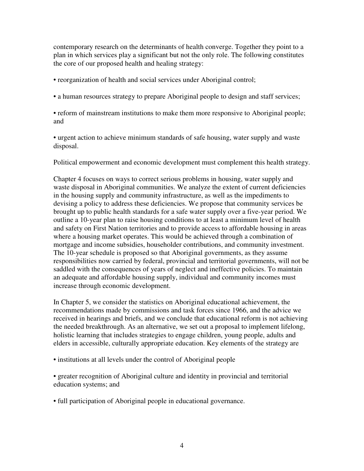contemporary research on the determinants of health converge. Together they point to a plan in which services play a significant but not the only role. The following constitutes the core of our proposed health and healing strategy:

• reorganization of health and social services under Aboriginal control;

• a human resources strategy to prepare Aboriginal people to design and staff services;

• reform of mainstream institutions to make them more responsive to Aboriginal people; and

• urgent action to achieve minimum standards of safe housing, water supply and waste disposal.

Political empowerment and economic development must complement this health strategy.

Chapter 4 focuses on ways to correct serious problems in housing, water supply and waste disposal in Aboriginal communities. We analyze the extent of current deficiencies in the housing supply and community infrastructure, as well as the impediments to devising a policy to address these deficiencies. We propose that community services be brought up to public health standards for a safe water supply over a five-year period. We outline a 10-year plan to raise housing conditions to at least a minimum level of health and safety on First Nation territories and to provide access to affordable housing in areas where a housing market operates. This would be achieved through a combination of mortgage and income subsidies, householder contributions, and community investment. The 10-year schedule is proposed so that Aboriginal governments, as they assume responsibilities now carried by federal, provincial and territorial governments, will not be saddled with the consequences of years of neglect and ineffective policies. To maintain an adequate and affordable housing supply, individual and community incomes must increase through economic development.

In Chapter 5, we consider the statistics on Aboriginal educational achievement, the recommendations made by commissions and task forces since 1966, and the advice we received in hearings and briefs, and we conclude that educational reform is not achieving the needed breakthrough. As an alternative, we set out a proposal to implement lifelong, holistic learning that includes strategies to engage children, young people, adults and elders in accessible, culturally appropriate education. Key elements of the strategy are

• institutions at all levels under the control of Aboriginal people

• greater recognition of Aboriginal culture and identity in provincial and territorial education systems; and

• full participation of Aboriginal people in educational governance.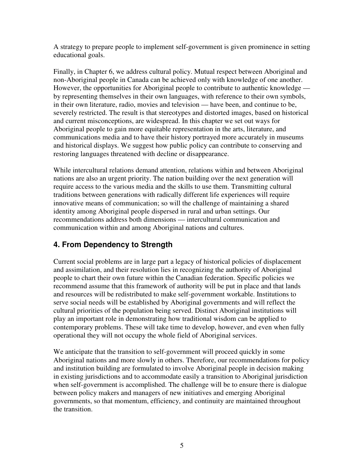A strategy to prepare people to implement self-government is given prominence in setting educational goals.

Finally, in Chapter 6, we address cultural policy. Mutual respect between Aboriginal and non-Aboriginal people in Canada can be achieved only with knowledge of one another. However, the opportunities for Aboriginal people to contribute to authentic knowledge by representing themselves in their own languages, with reference to their own symbols, in their own literature, radio, movies and television — have been, and continue to be, severely restricted. The result is that stereotypes and distorted images, based on historical and current misconceptions, are widespread. In this chapter we set out ways for Aboriginal people to gain more equitable representation in the arts, literature, and communications media and to have their history portrayed more accurately in museums and historical displays. We suggest how public policy can contribute to conserving and restoring languages threatened with decline or disappearance.

While intercultural relations demand attention, relations within and between Aboriginal nations are also an urgent priority. The nation building over the next generation will require access to the various media and the skills to use them. Transmitting cultural traditions between generations with radically different life experiences will require innovative means of communication; so will the challenge of maintaining a shared identity among Aboriginal people dispersed in rural and urban settings. Our recommendations address both dimensions — intercultural communication and communication within and among Aboriginal nations and cultures.

## **4. From Dependency to Strength**

Current social problems are in large part a legacy of historical policies of displacement and assimilation, and their resolution lies in recognizing the authority of Aboriginal people to chart their own future within the Canadian federation. Specific policies we recommend assume that this framework of authority will be put in place and that lands and resources will be redistributed to make self-government workable. Institutions to serve social needs will be established by Aboriginal governments and will reflect the cultural priorities of the population being served. Distinct Aboriginal institutions will play an important role in demonstrating how traditional wisdom can be applied to contemporary problems. These will take time to develop, however, and even when fully operational they will not occupy the whole field of Aboriginal services.

We anticipate that the transition to self-government will proceed quickly in some Aboriginal nations and more slowly in others. Therefore, our recommendations for policy and institution building are formulated to involve Aboriginal people in decision making in existing jurisdictions and to accommodate easily a transition to Aboriginal jurisdiction when self-government is accomplished. The challenge will be to ensure there is dialogue between policy makers and managers of new initiatives and emerging Aboriginal governments, so that momentum, efficiency, and continuity are maintained throughout the transition.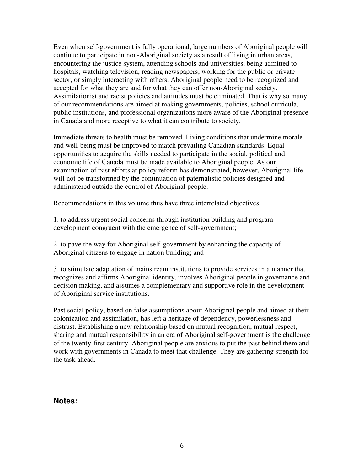Even when self-government is fully operational, large numbers of Aboriginal people will continue to participate in non-Aboriginal society as a result of living in urban areas, encountering the justice system, attending schools and universities, being admitted to hospitals, watching television, reading newspapers, working for the public or private sector, or simply interacting with others. Aboriginal people need to be recognized and accepted for what they are and for what they can offer non-Aboriginal society. Assimilationist and racist policies and attitudes must be eliminated. That is why so many of our recommendations are aimed at making governments, policies, school curricula, public institutions, and professional organizations more aware of the Aboriginal presence in Canada and more receptive to what it can contribute to society.

Immediate threats to health must be removed. Living conditions that undermine morale and well-being must be improved to match prevailing Canadian standards. Equal opportunities to acquire the skills needed to participate in the social, political and economic life of Canada must be made available to Aboriginal people. As our examination of past efforts at policy reform has demonstrated, however, Aboriginal life will not be transformed by the continuation of paternalistic policies designed and administered outside the control of Aboriginal people.

Recommendations in this volume thus have three interrelated objectives:

1. to address urgent social concerns through institution building and program development congruent with the emergence of self-government;

2. to pave the way for Aboriginal self-government by enhancing the capacity of Aboriginal citizens to engage in nation building; and

3. to stimulate adaptation of mainstream institutions to provide services in a manner that recognizes and affirms Aboriginal identity, involves Aboriginal people in governance and decision making, and assumes a complementary and supportive role in the development of Aboriginal service institutions.

Past social policy, based on false assumptions about Aboriginal people and aimed at their colonization and assimilation, has left a heritage of dependency, powerlessness and distrust. Establishing a new relationship based on mutual recognition, mutual respect, sharing and mutual responsibility in an era of Aboriginal self-government is the challenge of the twenty-first century. Aboriginal people are anxious to put the past behind them and work with governments in Canada to meet that challenge. They are gathering strength for the task ahead.

#### **Notes:**